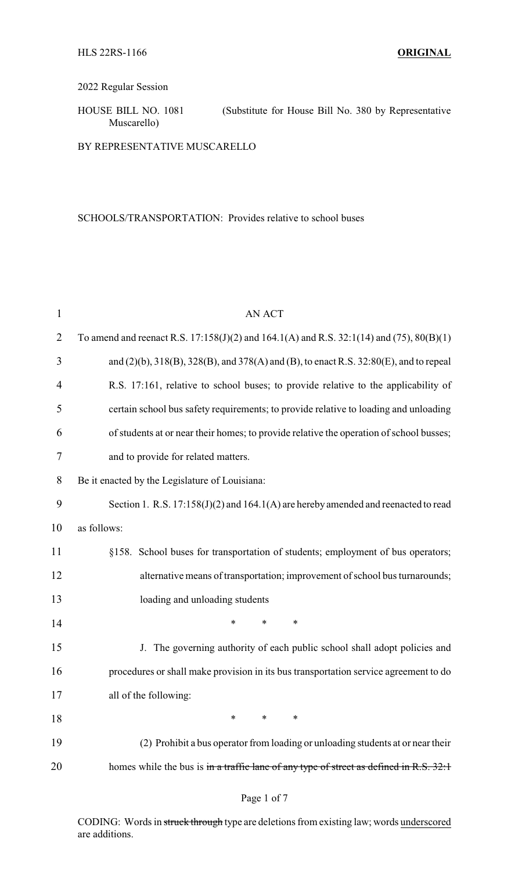## 2022 Regular Session

HOUSE BILL NO. 1081 (Substitute for House Bill No. 380 by Representative Muscarello)

BY REPRESENTATIVE MUSCARELLO

SCHOOLS/TRANSPORTATION: Provides relative to school buses

| <b>AN ACT</b>                                                                                          |  |  |  |
|--------------------------------------------------------------------------------------------------------|--|--|--|
| To amend and reenact R.S. $17:158(J)(2)$ and $164.1(A)$ and R.S. $32:1(14)$ and $(75)$ , $80(B)(1)$    |  |  |  |
| and $(2)(b)$ , $318(B)$ , $328(B)$ , and $378(A)$ and $(B)$ , to enact R.S. $32:80(E)$ , and to repeal |  |  |  |
| R.S. 17:161, relative to school buses; to provide relative to the applicability of                     |  |  |  |
| certain school bus safety requirements; to provide relative to loading and unloading                   |  |  |  |
| of students at or near their homes; to provide relative the operation of school busses;                |  |  |  |
| and to provide for related matters.                                                                    |  |  |  |
| Be it enacted by the Legislature of Louisiana:                                                         |  |  |  |
| Section 1. R.S. 17:158(J)(2) and 164.1(A) are hereby amended and reenacted to read                     |  |  |  |
| as follows:                                                                                            |  |  |  |
| §158. School buses for transportation of students; employment of bus operators;                        |  |  |  |
| alternative means of transportation; improvement of school bus turnarounds;                            |  |  |  |
| loading and unloading students                                                                         |  |  |  |
| $\ast$<br>*<br>*                                                                                       |  |  |  |
| J. The governing authority of each public school shall adopt policies and                              |  |  |  |
| procedures or shall make provision in its bus transportation service agreement to do                   |  |  |  |
| all of the following:                                                                                  |  |  |  |
| *<br>∗<br>∗                                                                                            |  |  |  |
| (2) Prohibit a bus operator from loading or unloading students at or near their                        |  |  |  |
| homes while the bus is in a traffic lane of any type of street as defined in R.S. 32:1                 |  |  |  |
|                                                                                                        |  |  |  |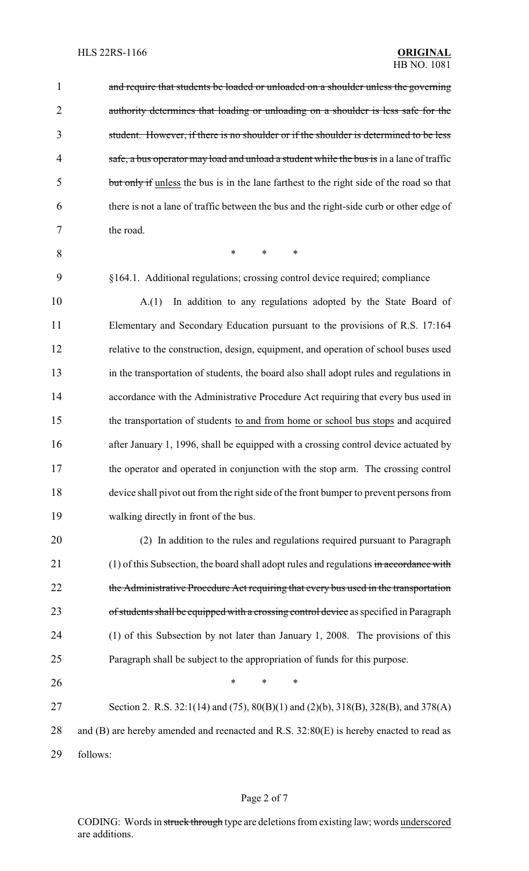1 and require that students be loaded or unloaded on a shoulder unless the governing 2 authority determines that loading or unloading on a shoulder is less safe for the 3 student. However, if there is no shoulder or if the shoulder is determined to be less 4 safe, a bus operator may load and unload a student while the bus is in a lane of traffic 5 but only if unless the bus is in the lane farthest to the right side of the road so that 6 there is not a lane of traffic between the bus and the right-side curb or other edge of 7 the road. 8 \* \* \*

9 §164.1. Additional regulations; crossing control device required; compliance

 A.(1) In addition to any regulations adopted by the State Board of Elementary and Secondary Education pursuant to the provisions of R.S. 17:164 relative to the construction, design, equipment, and operation of school buses used in the transportation of students, the board also shall adopt rules and regulations in accordance with the Administrative Procedure Act requiring that every bus used in the transportation of students to and from home or school bus stops and acquired 16 after January 1, 1996, shall be equipped with a crossing control device actuated by the operator and operated in conjunction with the stop arm. The crossing control device shall pivot out from the right side of the front bumper to prevent persons from walking directly in front of the bus.

20 (2) In addition to the rules and regulations required pursuant to Paragraph 21 (1) of this Subsection, the board shall adopt rules and regulations in accordance with 22 the Administrative Procedure Act requiring that every bus used in the transportation 23 of students shall be equipped with a crossing control device as specified in Paragraph 24 (1) of this Subsection by not later than January 1, 2008. The provisions of this 25 Paragraph shall be subject to the appropriation of funds for this purpose.

27 Section 2. R.S. 32:1(14) and (75), 80(B)(1) and (2)(b), 318(B), 328(B), and 378(A) 28 and (B) are hereby amended and reenacted and R.S. 32:80(E) is hereby enacted to read as 29 follows:

26 **\*** \* \* \*

### Page 2 of 7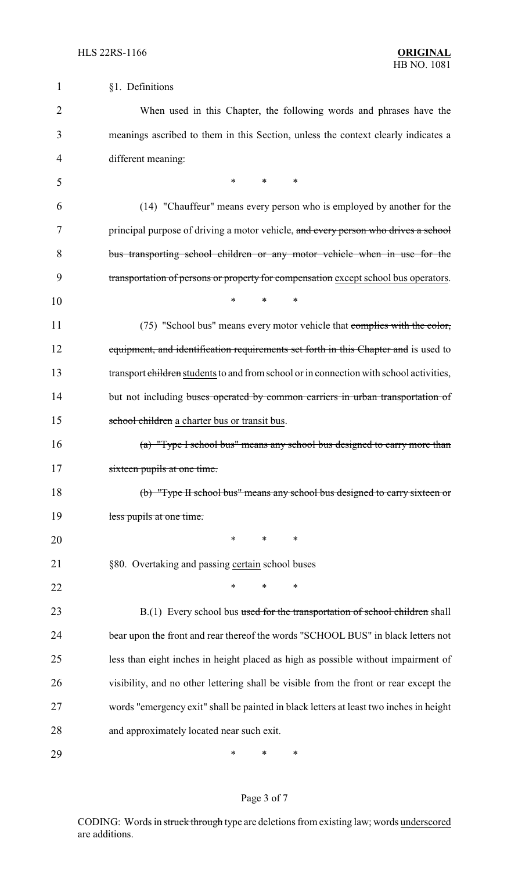| $\mathbf 1$    | §1. Definitions                                                                         |  |  |
|----------------|-----------------------------------------------------------------------------------------|--|--|
| $\overline{2}$ | When used in this Chapter, the following words and phrases have the                     |  |  |
| 3              | meanings ascribed to them in this Section, unless the context clearly indicates a       |  |  |
| $\overline{4}$ | different meaning:                                                                      |  |  |
| 5              | $*$ and $*$<br>$\ast$<br>*                                                              |  |  |
| 6              | (14) "Chauffeur" means every person who is employed by another for the                  |  |  |
| 7              | principal purpose of driving a motor vehicle, and every person who drives a school      |  |  |
| 8              | bus transporting school children or any motor vehicle when in use for the               |  |  |
| 9              | transportation of persons or property for compensation except school bus operators.     |  |  |
| 10             | $\ast$<br>*<br>$\ast$                                                                   |  |  |
| 11             | (75) "School bus" means every motor vehicle that complies with the color,               |  |  |
| 12             | equipment, and identification requirements set forth in this Chapter and is used to     |  |  |
| 13             | transport children students to and from school or in connection with school activities, |  |  |
| 14             | but not including buses operated by common carriers in urban transportation of          |  |  |
| 15             | school children a charter bus or transit bus.                                           |  |  |
| 16             | (a) "Type I school bus" means any school bus designed to carry more than                |  |  |
| 17             | sixteen pupils at one time.                                                             |  |  |
| 18             | (b) "Type II school bus" means any school bus designed to carry sixteen or              |  |  |
| 19             | less pupils at one time.                                                                |  |  |
| 20             | $\ast$<br>$\ast$<br>$\ast$                                                              |  |  |
| 21             | §80. Overtaking and passing certain school buses                                        |  |  |
| 22             | ∗<br>∗<br>*                                                                             |  |  |
| 23             | B.(1) Every school bus used for the transportation of school children shall             |  |  |
| 24             | bear upon the front and rear thereof the words "SCHOOL BUS" in black letters not        |  |  |
| 25             | less than eight inches in height placed as high as possible without impairment of       |  |  |
| 26             | visibility, and no other lettering shall be visible from the front or rear except the   |  |  |
| 27             | words "emergency exit" shall be painted in black letters at least two inches in height  |  |  |
| 28             | and approximately located near such exit.                                               |  |  |
| 29             | ∗<br>∗<br>∗                                                                             |  |  |

# Page 3 of 7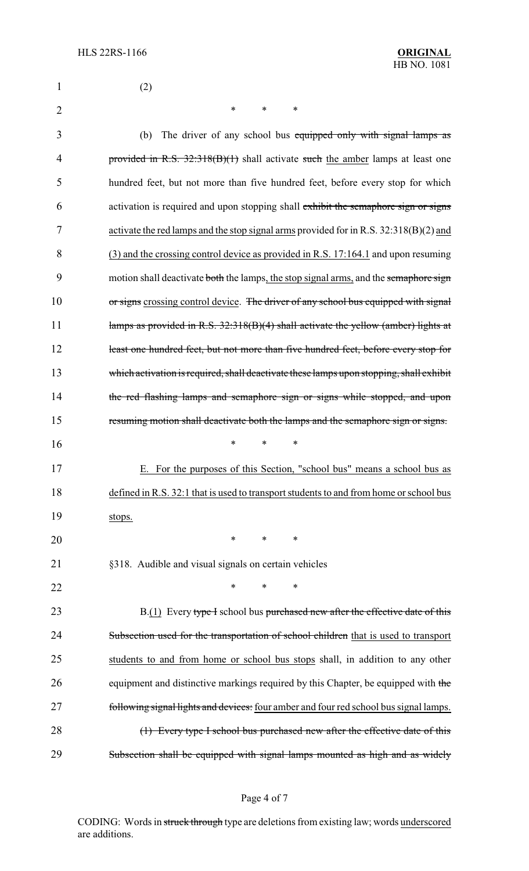| $\mathbf{1}$   | (2)                                                                                     |  |  |  |
|----------------|-----------------------------------------------------------------------------------------|--|--|--|
| $\overline{2}$ | $\ast$<br>$\ast$<br>$\ast$                                                              |  |  |  |
| 3              | (b)<br>The driver of any school bus equipped only with signal lamps as                  |  |  |  |
| 4              | provided in R.S. 32:318(B)(1) shall activate such the amber lamps at least one          |  |  |  |
| 5              | hundred feet, but not more than five hundred feet, before every stop for which          |  |  |  |
| 6              | activation is required and upon stopping shall exhibit the semaphore sign or signs      |  |  |  |
| 7              | activate the red lamps and the stop signal arms provided for in R.S. 32:318(B)(2) and   |  |  |  |
| 8              | (3) and the crossing control device as provided in R.S. 17:164.1 and upon resuming      |  |  |  |
| 9              | motion shall deactivate both the lamps, the stop signal arms, and the semaphore sign    |  |  |  |
| 10             | or signs crossing control device. The driver of any school bus equipped with signal     |  |  |  |
| 11             | lamps as provided in R.S. $32:318(B)(4)$ shall activate the yellow (amber) lights at    |  |  |  |
| 12             | least one hundred feet, but not more than five hundred feet, before every stop for      |  |  |  |
| 13             | which activation is required, shall deactivate these lamps upon stopping, shall exhibit |  |  |  |
| 14             | the red flashing lamps and semaphore sign or signs while stopped, and upon              |  |  |  |
| 15             | resuming motion shall deactivate both the lamps and the semaphore sign or signs.        |  |  |  |
| 16             | $\ast$<br>$\ast$<br>∗                                                                   |  |  |  |
| 17             | E. For the purposes of this Section, "school bus" means a school bus as                 |  |  |  |
| 18             | defined in R.S. 32:1 that is used to transport students to and from home or school bus  |  |  |  |
| 19             | stops.                                                                                  |  |  |  |
| 20             | $\ast$<br>$\ast$<br>∗                                                                   |  |  |  |
| 21             | §318. Audible and visual signals on certain vehicles                                    |  |  |  |
| 22             | *<br>*<br>∗                                                                             |  |  |  |
| 23             | B.(1) Every type I school bus purchased new after the effective date of this            |  |  |  |
| 24             | Subsection used for the transportation of school children that is used to transport     |  |  |  |
| 25             | students to and from home or school bus stops shall, in addition to any other           |  |  |  |
| 26             | equipment and distinctive markings required by this Chapter, be equipped with the       |  |  |  |
| 27             | following signal lights and devices: four amber and four red school bus signal lamps.   |  |  |  |
| 28             | (1) Every type I school bus purchased new after the effective date of this              |  |  |  |
| 29             | Subsection shall be equipped with signal lamps mounted as high and as widely            |  |  |  |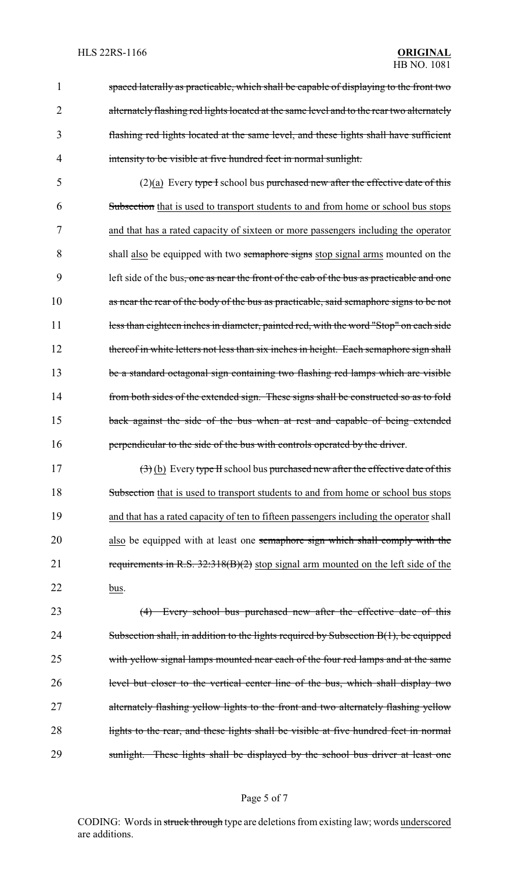spaced laterally as practicable, which shall be capable of displaying to the front two 2 alternately flashing red lights located at the same level and to the rear two alternately flashing red lights located at the same level, and these lights shall have sufficient intensity to be visible at five hundred feet in normal sunlight.

5 (2)(a) Every type I school bus purchased new after the effective date of this 6 Subsection that is used to transport students to and from home or school bus stops 7 and that has a rated capacity of sixteen or more passengers including the operator 8 shall also be equipped with two semaphore signs stop signal arms mounted on the 9 left side of the bus, one as near the front of the cab of the bus as practicable and one 10 as near the rear of the body of the bus as practicable, said semaphore signs to be not 11 less than eighteen inches in diameter, painted red, with the word "Stop" on each side 12 thereof in white letters not less than six inches in height. Each semaphore sign shall 13 be a standard octagonal sign containing two flashing red lamps which are visible 14 from both sides of the extended sign. These signs shall be constructed so as to fold 15 back against the side of the bus when at rest and capable of being extended 16 **perpendicular to the side of the bus with controls operated by the driver.** 

17  $(3)$  (b) Every type II school bus purchased new after the effective date of this 18 Subsection that is used to transport students to and from home or school bus stops 19 and that has a rated capacity of ten to fifteen passengers including the operator shall 20 also be equipped with at least one semaphore sign which shall comply with the 21 requirements in R.S. 32:318(B)(2) stop signal arm mounted on the left side of the 22 bus.

23 (4) Every school bus purchased new after the effective date of this 24 Subsection shall, in addition to the lights required by Subsection B(1), be equipped 25 with yellow signal lamps mounted near each of the four red lamps and at the same 26 level but closer to the vertical center line of the bus, which shall display two 27 alternately flashing yellow lights to the front and two alternately flashing yellow 28 lights to the rear, and these lights shall be visible at five hundred feet in normal 29 sunlight. These lights shall be displayed by the school bus driver at least one

#### Page 5 of 7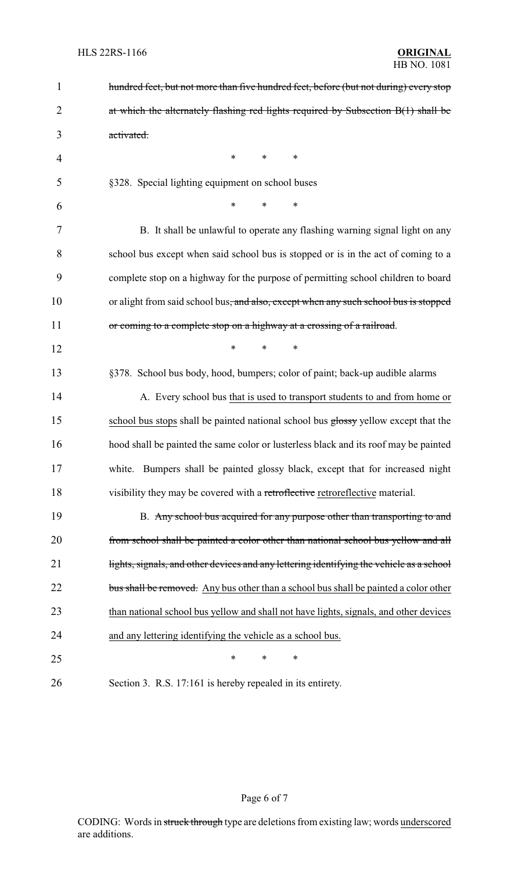| $\mathbf{1}$ | hundred feet, but not more than five hundred feet, before (but not during) every stop            |  |  |
|--------------|--------------------------------------------------------------------------------------------------|--|--|
| 2            | at which the alternately flashing red lights required by Subsection B(1) shall be                |  |  |
| 3            | activated.                                                                                       |  |  |
| 4            | ∗<br>∗<br>∗                                                                                      |  |  |
| 5            | §328. Special lighting equipment on school buses                                                 |  |  |
| 6            | *<br>$\ast$<br>$\ast$                                                                            |  |  |
| 7            | B. It shall be unlawful to operate any flashing warning signal light on any                      |  |  |
| 8            | school bus except when said school bus is stopped or is in the act of coming to a                |  |  |
| 9            | complete stop on a highway for the purpose of permitting school children to board                |  |  |
| 10           | or alight from said school bus <del>, and also, except when any such school bus is stopped</del> |  |  |
| 11           | or coming to a complete stop on a highway at a crossing of a railroad.                           |  |  |
| 12           | $\ast$<br>*<br>$\ast$                                                                            |  |  |
| 13           | §378. School bus body, hood, bumpers; color of paint; back-up audible alarms                     |  |  |
| 14           | A. Every school bus that is used to transport students to and from home or                       |  |  |
| 15           | school bus stops shall be painted national school bus glossy yellow except that the              |  |  |
| 16           | hood shall be painted the same color or lusterless black and its roof may be painted             |  |  |
| 17           | white. Bumpers shall be painted glossy black, except that for increased night                    |  |  |
| 18           | visibility they may be covered with a retroflective retroreflective material.                    |  |  |
| 19           | B. Any school bus acquired for any purpose other than transporting to and                        |  |  |
| 20           | from school shall be painted a color other than national school bus yellow and all               |  |  |
| 21           | lights, signals, and other devices and any lettering identifying the vehicle as a school         |  |  |
| 22           | bus shall be removed. Any bus other than a school bus shall be painted a color other             |  |  |
| 23           | than national school bus yellow and shall not have lights, signals, and other devices            |  |  |
| 24           | and any lettering identifying the vehicle as a school bus.                                       |  |  |
| 25           | ∗<br>∗<br>∗                                                                                      |  |  |
| 26           | Section 3. R.S. 17:161 is hereby repealed in its entirety.                                       |  |  |